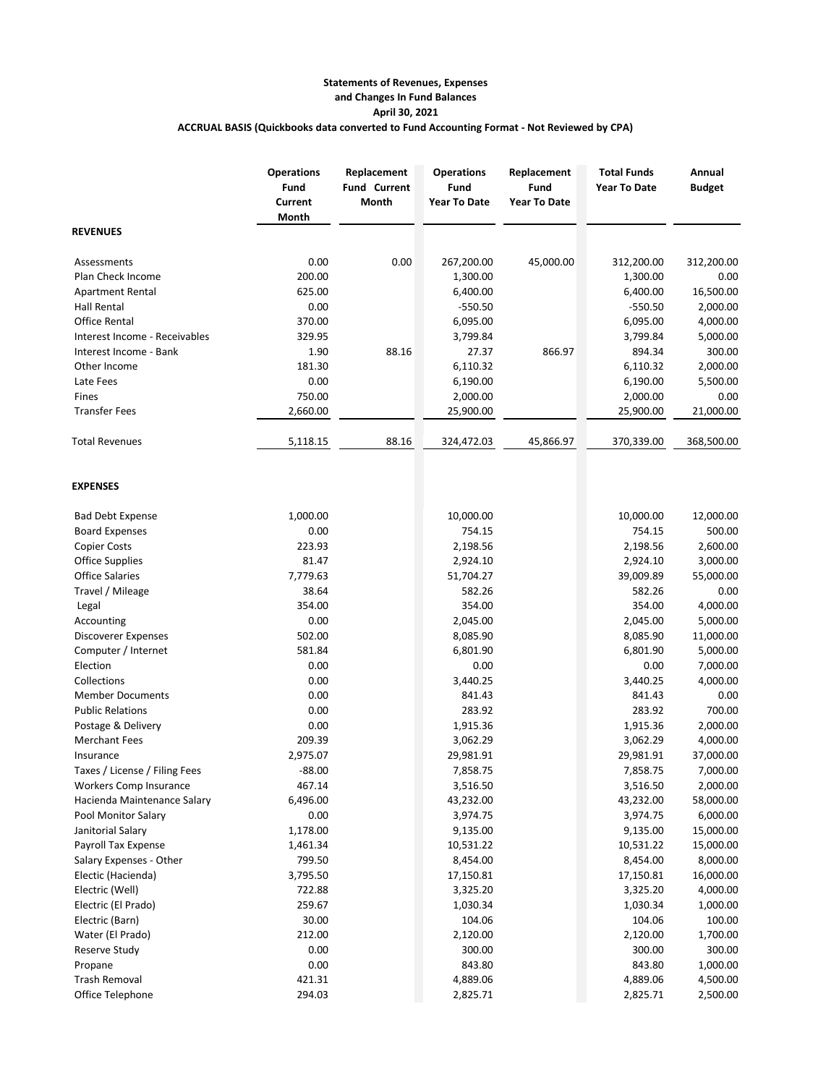## **Statements of Revenues, Expenses and Changes In Fund Balances April 30, 2021 ACCRUAL BASIS (Quickbooks data converted to Fund Accounting Format - Not Reviewed by CPA)**

|                                 | <b>Operations</b><br>Fund<br>Current<br>Month | Replacement<br><b>Fund Current</b><br>Month | <b>Operations</b><br>Fund<br><b>Year To Date</b> | Replacement<br>Fund<br><b>Year To Date</b> | <b>Total Funds</b><br><b>Year To Date</b> | Annual<br><b>Budget</b> |
|---------------------------------|-----------------------------------------------|---------------------------------------------|--------------------------------------------------|--------------------------------------------|-------------------------------------------|-------------------------|
| <b>REVENUES</b>                 |                                               |                                             |                                                  |                                            |                                           |                         |
| Assessments                     | 0.00                                          | 0.00                                        | 267,200.00                                       | 45,000.00                                  | 312,200.00                                | 312,200.00              |
| Plan Check Income               | 200.00                                        |                                             | 1,300.00                                         |                                            | 1,300.00                                  | 0.00                    |
| <b>Apartment Rental</b>         | 625.00                                        |                                             | 6,400.00                                         |                                            | 6,400.00                                  | 16,500.00               |
| <b>Hall Rental</b>              | 0.00                                          |                                             | $-550.50$                                        |                                            | $-550.50$                                 | 2,000.00                |
| <b>Office Rental</b>            | 370.00                                        |                                             | 6,095.00                                         |                                            | 6,095.00                                  | 4,000.00                |
| Interest Income - Receivables   | 329.95                                        |                                             | 3,799.84                                         |                                            | 3,799.84                                  | 5,000.00                |
| Interest Income - Bank          | 1.90                                          | 88.16                                       | 27.37                                            | 866.97                                     | 894.34                                    | 300.00                  |
| Other Income                    | 181.30                                        |                                             | 6,110.32                                         |                                            | 6,110.32                                  | 2,000.00                |
| Late Fees                       | 0.00                                          |                                             | 6,190.00                                         |                                            | 6,190.00                                  | 5,500.00                |
| Fines                           | 750.00                                        |                                             | 2,000.00                                         |                                            | 2,000.00                                  | 0.00                    |
| <b>Transfer Fees</b>            | 2,660.00                                      |                                             | 25,900.00                                        |                                            | 25,900.00                                 | 21,000.00               |
| <b>Total Revenues</b>           | 5,118.15                                      | 88.16                                       | 324,472.03                                       | 45,866.97                                  | 370,339.00                                | 368,500.00              |
| <b>EXPENSES</b>                 |                                               |                                             |                                                  |                                            |                                           |                         |
| <b>Bad Debt Expense</b>         | 1,000.00                                      |                                             | 10,000.00                                        |                                            | 10,000.00                                 | 12,000.00               |
| <b>Board Expenses</b>           | 0.00                                          |                                             | 754.15                                           |                                            | 754.15                                    | 500.00                  |
| <b>Copier Costs</b>             | 223.93                                        |                                             | 2,198.56                                         |                                            | 2,198.56                                  | 2,600.00                |
| <b>Office Supplies</b>          | 81.47                                         |                                             | 2,924.10                                         |                                            | 2,924.10                                  | 3,000.00                |
| <b>Office Salaries</b>          | 7,779.63                                      |                                             | 51,704.27                                        |                                            | 39,009.89                                 | 55,000.00               |
| Travel / Mileage                | 38.64                                         |                                             | 582.26                                           |                                            | 582.26                                    | 0.00                    |
| Legal                           | 354.00                                        |                                             | 354.00                                           |                                            | 354.00                                    | 4,000.00                |
| Accounting                      | 0.00                                          |                                             | 2,045.00                                         |                                            | 2,045.00                                  | 5,000.00                |
| Discoverer Expenses             | 502.00                                        |                                             | 8,085.90                                         |                                            | 8,085.90                                  | 11,000.00               |
| Computer / Internet             | 581.84                                        |                                             | 6,801.90                                         |                                            | 6,801.90                                  | 5,000.00                |
| Election                        | 0.00                                          |                                             | 0.00                                             |                                            | 0.00                                      | 7,000.00                |
| Collections                     | 0.00                                          |                                             | 3,440.25                                         |                                            | 3,440.25                                  | 4,000.00                |
| <b>Member Documents</b>         | 0.00                                          |                                             | 841.43                                           |                                            | 841.43                                    | 0.00                    |
| <b>Public Relations</b>         | 0.00                                          |                                             | 283.92                                           |                                            | 283.92                                    | 700.00                  |
| Postage & Delivery              | 0.00                                          |                                             | 1,915.36                                         |                                            | 1,915.36                                  | 2,000.00                |
| <b>Merchant Fees</b>            | 209.39                                        |                                             | 3,062.29                                         |                                            | 3,062.29                                  | 4,000.00                |
| Insurance                       | 2,975.07                                      |                                             | 29,981.91                                        |                                            | 29,981.91                                 | 37,000.00               |
| Taxes / License / Filing Fees   | $-88.00$                                      |                                             | 7,858.75                                         |                                            | 7,858.75                                  | 7,000.00                |
| Workers Comp Insurance          | 467.14                                        |                                             | 3,516.50                                         |                                            | 3,516.50                                  | 2,000.00                |
| Hacienda Maintenance Salary     | 6,496.00                                      |                                             | 43,232.00                                        |                                            | 43,232.00                                 | 58,000.00               |
| Pool Monitor Salary             | 0.00                                          |                                             | 3,974.75                                         |                                            | 3,974.75                                  | 6,000.00                |
| Janitorial Salary               | 1,178.00                                      |                                             | 9,135.00                                         |                                            | 9,135.00                                  | 15,000.00               |
| <b>Payroll Tax Expense</b>      | 1,461.34                                      |                                             | 10,531.22                                        |                                            | 10,531.22                                 | 15,000.00               |
| Salary Expenses - Other         | 799.50                                        |                                             | 8,454.00                                         |                                            | 8,454.00                                  | 8,000.00                |
| Electic (Hacienda)              | 3,795.50                                      |                                             | 17,150.81                                        |                                            | 17,150.81                                 | 16,000.00               |
| Electric (Well)                 | 722.88                                        |                                             | 3,325.20                                         |                                            | 3,325.20                                  | 4,000.00                |
| Electric (El Prado)             | 259.67                                        |                                             | 1,030.34                                         |                                            | 1,030.34                                  | 1,000.00                |
| Electric (Barn)                 | 30.00                                         |                                             | 104.06                                           |                                            | 104.06                                    | 100.00                  |
| Water (El Prado)                | 212.00                                        |                                             | 2,120.00                                         |                                            | 2,120.00                                  | 1,700.00                |
| Reserve Study                   | 0.00                                          |                                             | 300.00                                           |                                            | 300.00                                    | 300.00                  |
| Propane<br><b>Trash Removal</b> | 0.00                                          |                                             | 843.80                                           |                                            | 843.80                                    | 1,000.00                |
| Office Telephone                | 421.31<br>294.03                              |                                             | 4,889.06<br>2,825.71                             |                                            | 4,889.06<br>2,825.71                      | 4,500.00<br>2,500.00    |
|                                 |                                               |                                             |                                                  |                                            |                                           |                         |